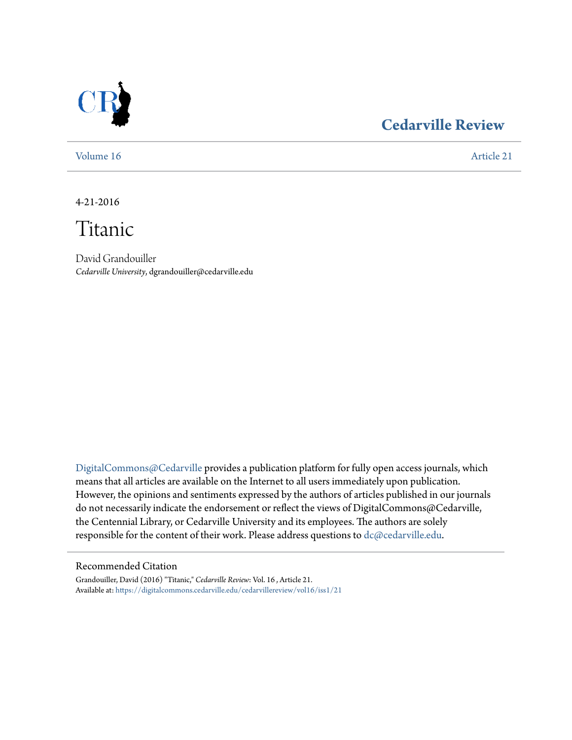

# **[Cedarville Review](https://digitalcommons.cedarville.edu/cedarvillereview?utm_source=digitalcommons.cedarville.edu%2Fcedarvillereview%2Fvol16%2Fiss1%2F21&utm_medium=PDF&utm_campaign=PDFCoverPages)**

[Volume 16](https://digitalcommons.cedarville.edu/cedarvillereview/vol16?utm_source=digitalcommons.cedarville.edu%2Fcedarvillereview%2Fvol16%2Fiss1%2F21&utm_medium=PDF&utm_campaign=PDFCoverPages) [Article 21](https://digitalcommons.cedarville.edu/cedarvillereview/vol16/iss1/21?utm_source=digitalcommons.cedarville.edu%2Fcedarvillereview%2Fvol16%2Fiss1%2F21&utm_medium=PDF&utm_campaign=PDFCoverPages)

4-21-2016

Titanic

David Grandouiller *Cedarville University*, dgrandouiller@cedarville.edu

[DigitalCommons@Cedarville](http://digitalcommons.cedarville.edu) provides a publication platform for fully open access journals, which means that all articles are available on the Internet to all users immediately upon publication. However, the opinions and sentiments expressed by the authors of articles published in our journals do not necessarily indicate the endorsement or reflect the views of DigitalCommons@Cedarville, the Centennial Library, or Cedarville University and its employees. The authors are solely responsible for the content of their work. Please address questions to [dc@cedarville.edu](mailto:dc@cedarville.edu).

#### Recommended Citation

Grandouiller, David (2016) "Titanic," *Cedarville Review*: Vol. 16 , Article 21. Available at: [https://digitalcommons.cedarville.edu/cedarvillereview/vol16/iss1/21](https://digitalcommons.cedarville.edu/cedarvillereview/vol16/iss1/21?utm_source=digitalcommons.cedarville.edu%2Fcedarvillereview%2Fvol16%2Fiss1%2F21&utm_medium=PDF&utm_campaign=PDFCoverPages)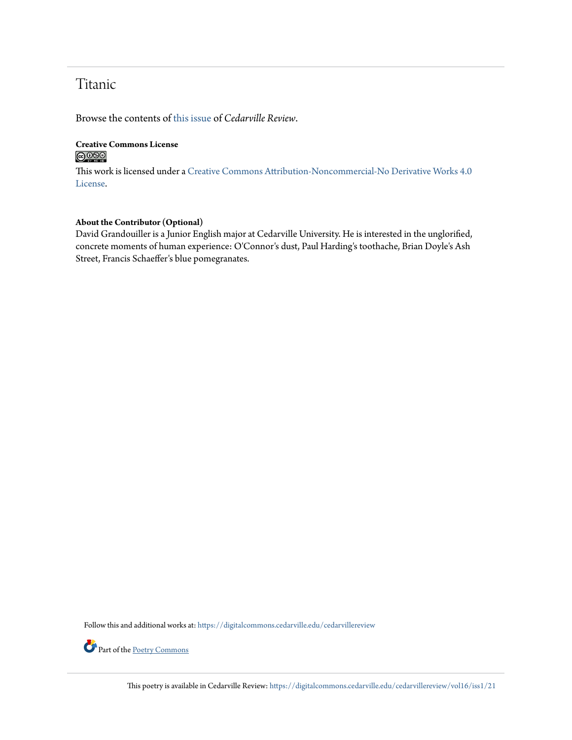## Titanic

Browse the contents of [this issue](https://digitalcommons.cedarville.edu/cedarvillereview/vol16/iss1) of *Cedarville Review*.

### **Creative Commons License**  $\bigcirc$   $\circ$

This work is licensed under a [Creative Commons Attribution-Noncommercial-No Derivative Works 4.0](http://creativecommons.org/licenses/by-nc-nd/4.0/) [License.](http://creativecommons.org/licenses/by-nc-nd/4.0/)

#### **About the Contributor (Optional)**

David Grandouiller is a Junior English major at Cedarville University. He is interested in the unglorified, concrete moments of human experience: O'Connor's dust, Paul Harding's toothache, Brian Doyle's Ash Street, Francis Schaeffer's blue pomegranates.

Follow this and additional works at: [https://digitalcommons.cedarville.edu/cedarvillereview](https://digitalcommons.cedarville.edu/cedarvillereview?utm_source=digitalcommons.cedarville.edu%2Fcedarvillereview%2Fvol16%2Fiss1%2F21&utm_medium=PDF&utm_campaign=PDFCoverPages)



Part of the [Poetry Commons](http://network.bepress.com/hgg/discipline/1153?utm_source=digitalcommons.cedarville.edu%2Fcedarvillereview%2Fvol16%2Fiss1%2F21&utm_medium=PDF&utm_campaign=PDFCoverPages)

This poetry is available in Cedarville Review: [https://digitalcommons.cedarville.edu/cedarvillereview/vol16/iss1/21](https://digitalcommons.cedarville.edu/cedarvillereview/vol16/iss1/21?utm_source=digitalcommons.cedarville.edu%2Fcedarvillereview%2Fvol16%2Fiss1%2F21&utm_medium=PDF&utm_campaign=PDFCoverPages)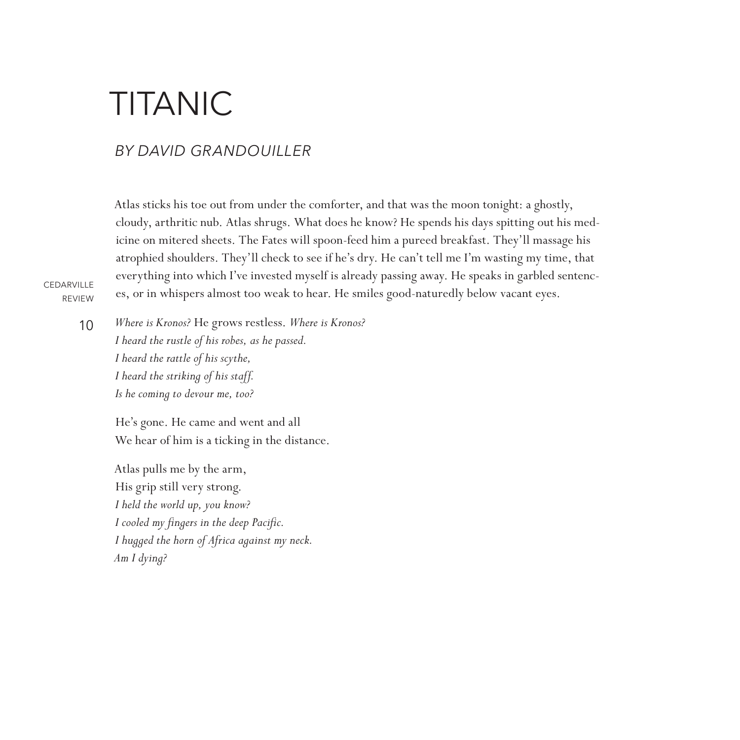# **TITANIC**

## *By David Grandouiller*

Atlas sticks his toe out from under the comforter, and that was the moon tonight: a ghostly, cloudy, arthritic nub. Atlas shrugs. What does he know? He spends his days spitting out his medicine on mitered sheets. The Fates will spoon-feed him a pureed breakfast. They'll massage his atrophied shoulders. They'll check to see if he's dry. He can't tell me I'm wasting my time, that everything into which I've invested myself is already passing away. He speaks in garbled sentences, or in whispers almost too weak to hear. He smiles good-naturedly below vacant eyes.

**CEDARVILLE** REVIEW

10

*Where is Kronos?* He grows restless. *Where is Kronos? I heard the rustle of his robes, as he passed. I heard the rattle of his scythe, I heard the striking of his staff. Is he coming to devour me, too?*

He's gone. He came and went and all We hear of him is a ticking in the distance.

Atlas pulls me by the arm, His grip still very strong. *I held the world up, you know? I cooled my fingers in the deep Pacific. I hugged the horn of Africa against my neck. Am I dying?*